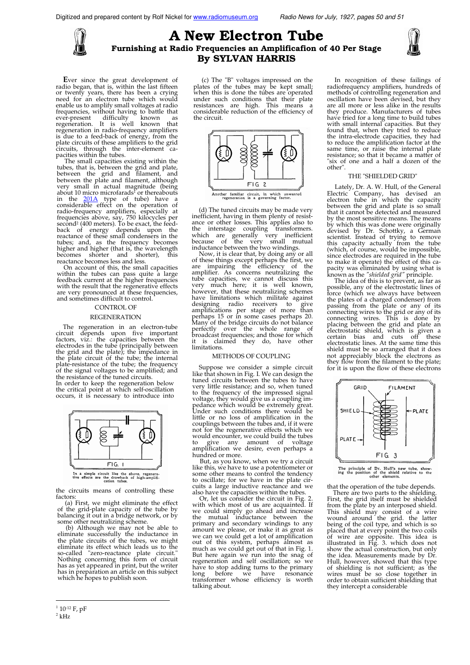

# A New Electron Tube Furnishing at Radio Frequencies an Amplificafion of 40 Per Stage By SYLVAN HARRIS



Ever since the great development of radio began, that is, within the last fifteen or twenty years, there has been a crying need for an electron tube which would enable us to amplify small voltages at radio frequencies, without having to battle that ever-present difficulty known as regeneration. It is well known that regeneration in radio-frequency amplifiers is due to a feed-back of energy, from the plate circuits of these amplifiers to the grid circuits, through the inter-element capacities within the tubes.

The small capacities existing within the tubes, that is, between the grid and plate, between the plate and filament, and between the plate and filament, although very small in actual magnitude (being about 10 micro microfarads<sup>1</sup> or thereabouts in the <u>201A</u> type of tube) have a considerable effect on the operation of radio-frequency amplifiers, especially at frequencies above, say, 750 kilocycles per second<sup>2</sup> (400 meters). To be exact, the feedback of energy de reactance becomes less and less.

On account of this, the small capacities within the tubes can pass quite a large feedback current at the higher frequencies with the result that the regenerative effects are very pronounced at these frequencies, and sometimes difficult to control.

# CONTROL OF

# REGENERATION

The regeneration in an electron-tube circuit depends upon five important factors, viz.: the capacities between the electrodes in the tube (principally between the grid and the plate); the impedance in the plate circuit of the tube; the internal plate-resistance of the tube; the frequency of the signal voltages to be amplified; and the resistance of the tuned circuits.

In order to keep the regeneration below the critical point at which self-oscillation occurs, it is necessary to introduce into



the circuits means of controlling these factors:

(a) First, we might eliminate the effect of the grid-plate capacity of the tube by balancing it out in a bridge network, or by

some other neutralizing scheme. (b) Although we may not be able to eliminate successfully the inductance in the plate circuits of the tubes, we might eliminate its effect which leads us to the so-called "zero-reactance plate circuit." Nothing concerning this form of circuit has as yet appeared in print, but the writer has in preparation an article on this subject which

(c) The "B" voltages impressed on the plates of the tubes may be kept small; when this is done the tubes are operated under such conditions that their plate resistances are high. This means a considerable reduction of the efficiency of the circuit.



(d) The tuned circuits may be made very inefficient, having in them plenty of resistance or other losses. This applies also to the interstage coupling transformers. which are generally very inefficient because of the very small mutual inductance between the two windings.

Now, it is clear that, by doing any or all of these things except perhaps the first, we are impairing the efficiency of the amplifier. As concerns neutralizing the tube capacities, we cannot discuss this very much here; it is well known, however, that these neutralizing schemes<br>have limitations which militate against<br>designing radio receivers to give<br>amplifications per stage of more than<br>perhaps 15 or in some cases perhaps 20.<br>Many of the bridge circuits d perfectly over the whole range of<br>broadcast frequencies; and those for which is claimed they do, have other limitations.

#### METHODS OF COUPLING

Suppose we consider a simple circuit like that shown in Fig. I. We can design the tuned circuits between the tubes to have very little resistance; and so, when tuned to the frequency of the impressed signal voltage, they would give us a coupling im-pedance which would be extremely great. Under such conditions there would be little or no loss of amplification in the couplings between the tubes and, if it were not for the regenerative effects which we would encounter, we could build the tubes to give any amount of voltage amplification we desire, even perhaps a hundred or more.

But, as you know, when we try a circuit like this, we have to use a potentiometer or some other means to control the tendency to oscillate; for we have in the plate circuits a large inductive reactance and we also have the capacities within the tubes.

Or, let us consider the circuit in Fig. with which most of us are acquainted. If we could simply go ahead and increase the mutual inductance between the primary and secondary windings to any amount we please, or make it as great as we can we could get a lot of amplification out of this system, perhaps almost as much as we could get out of that in Fig. 1. But here again we run into the snag of regeneration and self oscillation; so we have to stop adding turns to the primary long before we have resonance transformer whose efficiency is worth talking about.

In recognition of these failings of radiofrequency amplifiers, hundreds of methods of controlling regeneration and oscillation have been devised, but they are all more or less alike in the results they produce. Manufacturers of tubes have tried for a long time to build tubes with small internal capacities. But they found that, when they tried to reduce the intra-electrode capacities, they had to reduce the amplification factor at the same time, or raise the internal plate resistance; so that it became a matter of "six of one and a half a dozen of the other".

## THE "SHIELDED GRID"

Lately, Dr. A. W. Hull, of the General Electric Company, has devised an electron tube in which the capacity between the grid and plate is so small that it cannot be detected and measured by the most sensitive means. The means by which this was done were originally<br>devised by Dr. Schottky, a German<br>scientist. Instead of trying to remove<br>this capacity actually from the tube<br>(which, of course, would be impossible,<br>since electrodes are required in to make it operate) the effect of this ca-

pacity was eliminated by using what is<br>known as the *"shielded grid"* principle.<br>The idea of this is to prevent, as far as<br>possible, any of the electrostatic lines of force (which we always have between the plates of a charged condenser) from passing from the plate or any of its connecting wires to the grid or any of its connecting wires. This is done by placing between the grid and plate an electrostatic shield, which is given a certain bias and cuts off these electrostatic lines. At the same time this shield must be so arranged that it does not appreciably block the electrons as they flow from the filament to the plate; for it is upon the flow of these electrons



The principle of Dr. Hull's new tube, showing the position of the shield relative to the other elements.

that the operation of the tube depends. There are two parts to the shielding. First, the grid itself must be shielded from the plate by an interposed shield. This shield may consist of a wire<br>wound around the grid. the latter<br>being of the coil type, and which is so<br>placed that at every point the two coils<br>of wire are opposite. This idea is<br>illustrated in Fig. 3. which does not show the actual construction, but only the idea. Measurements made by Dr. Hull, however, showed that this type of shielding is not sufficient; as the wires must be so close together in order to obtain sufficient shielding that they intercept a considerable

<sup>&</sup>lt;sup>1</sup> 10<sup>-12</sup> F, pF

 $2$  kHz